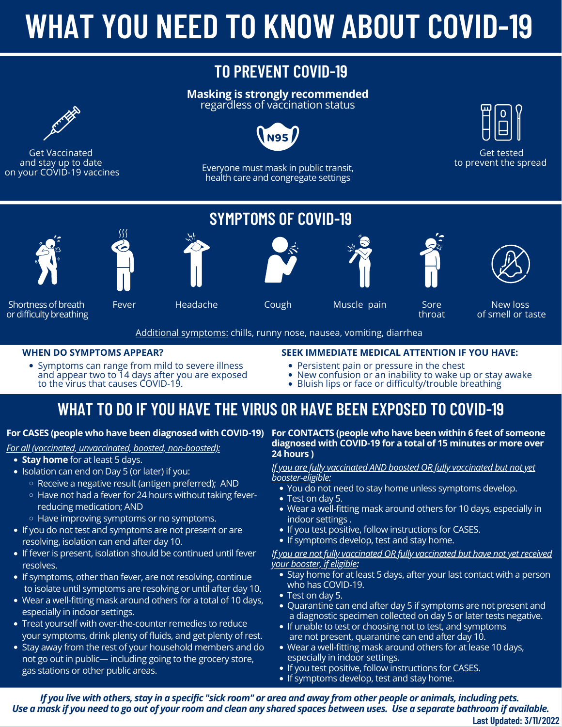# **WHAT YOU NEED TO KNOW ABOUT COVID-19**

# **TO PREVENT COVID-19**

#### **Masking is strongly recommended** regardless of vaccination status



Get Vaccinated and stay up to date on your COVID-19 vaccines

# **N95**

Everyone must mask in public transit, health care and congregate settings

**SYMPTOMS OF COVID-19**



Get tested to prevent the spread











Sore throat



Shortness of breath or difficulty breathing

Fever

Headache Cough

Muscle pain

New loss of smell or taste

Additional symptoms: chills, runny nose, nausea, vomiting, diarrhea

#### **WHEN DO SYMPTOMS APPEAR?**

Symptoms can range from mild to severe illness<br>and appear two to 14 days after you are exposed to the virus that causes COVID-19.

#### **SEEK IMMEDIATE MEDICAL ATTENTION IF YOU HAVE:**

- Persistent pain or pressure in the chest
- New confusion or an inability to wake up or stay awake
- Bluish lips or face or difficulty/trouble breathing

# **WHAT TO DO IF YOU HAVE THE VIRUS OR HAVE BEEN EXPOSED TO COVID-19**

*For all (vaccinated, unvaccinated, boosted, non-boosted):*

- **Stay [home](https://www.cdph.ca.gov/Programs/CID/DCDC/CDPH%20Document%20Library/COVID-19/self-isolation-instructions.pdf)** for at least 5 days.
- Isolation can end on Day 5 (or later) if you:
	- $\circ$  Receive a negative result (antigen preferred); AND
	- o Have not had a fever for 24 hours without taking feverreducing medication; AND
	- Have improving symptoms or no symptoms.
- If you do not test and symptoms are not present or are resolving, isolation can end after day 10.
- If fever is present, isolation should be continued until fever resolves.
- If symptoms, other than fever, are not resolving, continue to isolate until symptoms are resolving or until after day 10.
- Wear a well-fitting mask around others for a total of 10 days, especially in indoor settings.
- Treat yourself with over-the-counter remedies to reduce your symptoms, drink plenty of fluids, and get plenty of rest.
- Stay away from the rest of your household members and do not go out in public— including going to the grocery store, gas stations or other public areas.

#### For CASES (people who have been diagnosed with COVID-19) For CONTACTS (people who have been within 6 feet of someone **diagnosed with COVID-19 for a total of 15 minutes or more over 24 hours )**

#### *If you are fully vaccinated AND boosted OR fully vaccinated but not yet booster-eligible:*

- You do not need to stay home unless symptoms develop.
- Test on day 5.
- Wear a well-fitting mask around others for 10 days, especially in indoor settings .
- If you test positive, follow instructions for CASES.
- If symptoms develop, test and stay home.

#### *If you are not fully vaccinated OR fully vaccinated but have not yet received your booster, if eligible:*

- Stay [home](https://www.cdph.ca.gov/Programs/CID/DCDC/CDPH%20Document%20Library/COVID-19/selfq_handout.pdf) for at least 5 days, after your last contact with a person who has COVID-19.
- Test on day 5.
- Ouarantine can end after day 5 if symptoms are not present and a diagnostic specimen collected on day 5 or later tests negative.
- If unable to test or choosing not to test, and symptoms are not present, quarantine can end after day 10.
- Wear a well-fitting mask around others for at lease 10 days, especially in indoor settings.
- If you test positive, follow instructions for CASES.
- If symptoms develop, test and stay home.

If you live with others, stay in a specific "sick room" or area and away from other people or animals, including pets. Use a mask if you need to go out of your room and clean any shared spaces between uses. Use a separate bathroom if available. **Last Updated: 3/11/2022**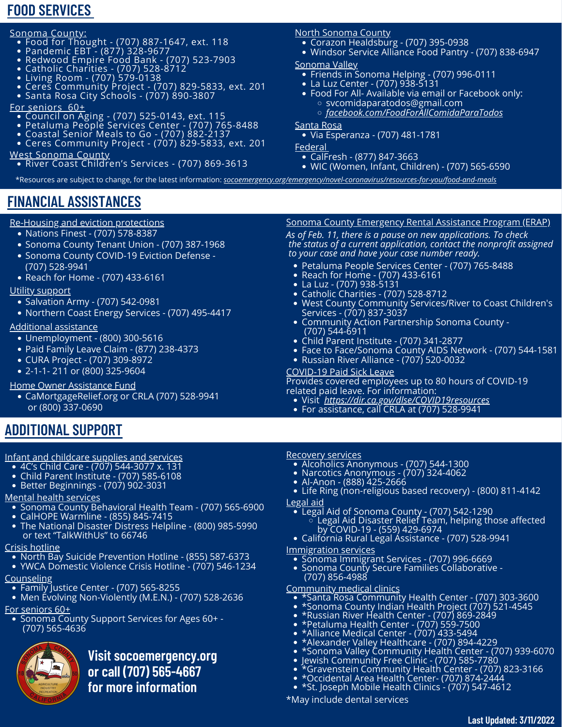### **FOOD SERVICES**

#### <u>Sonoma County:</u>

- Food for Thought (707) 887-1647, ext. 118
- Pandemic EBT -(877) 328-9677
- Redwood Empire Food Bank -(707) 523-7903
- Catholic Charities (707) 528-8712
- Living Room (707) 579-0138
- Ceres Community Project (707) 829-5833, ext. 201
- Santa Rosa City Schools (707) 890-3807

#### For seniors 60+

- Council on Aging -(707) 525-0143, ext. 115
- Petaluma People Services Center (707) 765-8488
- Coastal Senior Meals to Go (707) 882-2137
- Ceres Community Project (707) 829-5833, ext. 201 West Sonoma County

River Coast Children's Services - (707) 869-3613

#### North Sonoma County

- Corazon Healdsburg (707) 395-0938
- Windsor Service Alliance Food Pantry -(707) 838-6947

#### Sonoma Valley

- Friends in Sonoma Helping (707) 996-0111
- La Luz Center (707) 938-5131
- Food For All- Available via email or Facebook only: svcomidaparatodos@gmail.com
	- *[facebook.com/FoodForAllComidaParaTodos](http://facebook.com/FoodForAllComidaParaTodos)*

#### Santa Rosa

Via Esperanza - (707) 481-1781

Federal

- CalFresh (877) 847-3663
- WIC (Women, Infant, Children) (707) 565-6590

\*Resources are subject to change, for the latest information: *[socoemergency.org/emergency/novel-coronavirus/resources-for-you/food-and-meals](http://socoemergency.org/emergency/novel-coronavirus/resources-for-you/food-and-meals)*

# **FINANCIAL ASSISTANCES**

#### Re-Housing and eviction protections

- **Financial Assistance** Nations Finest (707) 578-8387
- Sonoma County Tenant Union (707) 387-1968
- Sonoma County COVID-19 Eviction Defense (707) 528-9941
- Reach for Home (707) 433-6161

#### Utility support

- Salvation Army (707) 542-0981
- Northern Coast Energy Services (707) 495-4417

#### Additional assistance

- Unemployment (800) 300-5616
- Paid Family Leave Claim (877) 238-4373
- CURA Project (707) 309-8972
- 2-1-1- 211 or (800) 325-9604

#### Home Owner Assistance Fund

CaMortgageRelief.org or CRLA (707) 528-9941 or (800) 337-0690

## **ADDITIONAL SUPPORT**

#### Infant and childcare supplies and services

- 4C's Child Care (707) 544-3077 x. 131
- Child Parent Institute (707) 585-6108
- Better Beginnings (707) 902-3031

#### Mental health services

- **Sonoma County Behavioral Health Team (707) 565-6900**
- CalHOPE Warmline (855) 845-7415
- The National Disaster Distress Helpline (800) 985-5990 or text "TalkWithUs" to 66746

#### Crisis hotline

- North Bay Suicide Prevention Hotline (855) 587-6373
- YWCA Domestic Violence Crisis Hotline (707) 546-1234

#### **Counseling**

- Family Justice Center (707) 565-8255
- Men Evolving Non-Violently (M.E.N.) (707) 528-2636

#### For seniors 60+

Sonoma County Support Services for Ages 60+ - (707) 565-4636



**Visit socoemergency.org or call (707) 565-4667 for more information**

#### Sonoma County Emergency Rental Assistance Program (ERAP)

*As of Feb. 11, there is a pause on new applications. To check the status of a current application, contact the nonprofit assigned to your case and have your case number ready.*

- Petaluma People Services Center (707) 765-8488
- Reach for Home (707) 433-6161
- La Luz (707) 938-5131
- Catholic Charities (707) 528-8712
- West County Community Services/River to Coast Children's Services - (707) 837-3037
- Community Action Partnership Sonoma County (707) 544-6911
- Child Parent Institute (707) 341-2877
- Face to Face/Sonoma County AIDS Network -(707) 544-1581
- Russian River Alliance (707) 520-0032

#### COVID-19 Paid Sick Leave

Provides covered employees up to 80 hours of COVID-19 related paid leave. For information:

- Visit *[https://dir.ca.gov/dlse/COVID19resources](http://dir.ca.gov/dlse/COVID19resources)*
- For assistance, call CRLA at (707) 528-9941

#### Recovery services

- Alcoholics Anonymous (707) 544-1300
- Narcotics Anonymous (707) 324-4062
- Al-Anon (888) 425-2666
- Life Ring (non-religious based recovery) (800) 811-4142 Legal aid
	- Legal Aid of Sonoma County -(707) 542-1290 Legal Aid Disaster Relief Team, helping those affected by COVID-19 - (559) 429-6974
- California Rural Legal Assistance (707) 528-9941 Immigration services

#### Sonoma Immigrant Services - (707) 996-6669

Sonoma County Secure Families Collaborative - (707) 856-4988

#### Community medical clinics

- \*Santa Rosa Community Health Center (707) 303-3600
- \*Sonoma County Indian Health Project (707) 521-4545
- \*Russian River Health Center (707) 869-2849
- \*Petaluma Health Center (707) 559-7500
- \*Alliance Medical Center (707) 433-5494
- \*Alexander Valley Healthcare (707) 894-4229
- \*Sonoma Valley Community Health Center (707) 939-6070

**Last Updated: 3/11/2022**

- Jewish Community Free Clinic (707) 585-7780
- \*Gravenstein Community Health Center (707) 823-3166
- \*Occidental Area Health Center- (707) 874-2444 \*St. Joseph Mobile Health Clinics - (707) 547-4612

\*May include dental services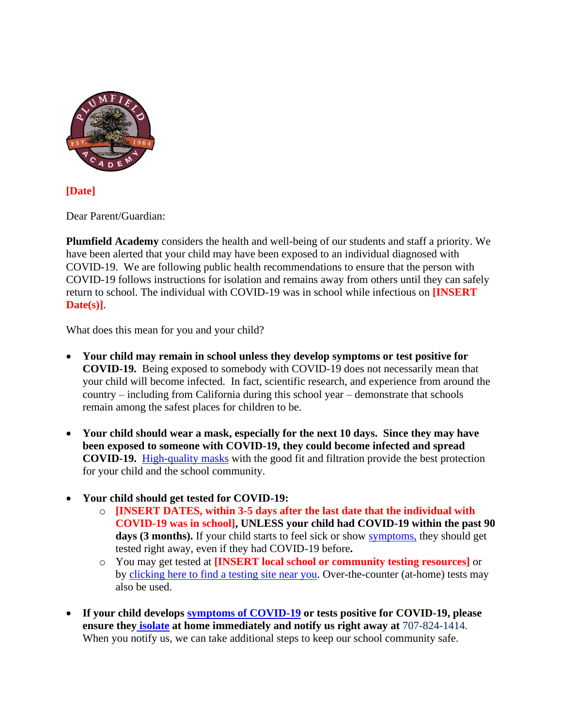

#### **[Date]**

Dear Parent/Guardian:

**Plumfield Academy** considers the health and well-being of our students and staff a priority. We have been alerted that your child may have been exposed to an individual diagnosed with COVID-19. We are following public health recommendations to ensure that the person with COVID-19 follows instructions for isolation and remains away from others until they can safely return to school. The individual with COVID-19 was in school while infectious on **[INSERT Date(s)]**.

What does this mean for you and your child?

- **Your child may remain in school unless they develop symptoms or test positive for COVID-19.** Being exposed to somebody with COVID-19 does not necessarily mean that your child will become infected. In fact, scientific research, and experience from around the country – including from California during this school year – demonstrate that schools remain among the safest places for children to be.
- **Your child should wear a mask, especially for the next 10 days. Since they may have been exposed to someone with COVID-19, they could become infected and spread COVID-19.** [High-quality masks](https://www.cdph.ca.gov/Programs/CID/DCDC/Pages/COVID-19/Masks-for-Kids-Tips-and-Resources.aspx) with the good fit and filtration provide the best protection for your child and the school community.
- **Your child should get tested for COVID-19:**
	- o **[INSERT DATES, within 3-5 days after the last date that the individual with COVID-19 was in school], UNLESS your child had COVID-19 within the past 90**  days (3 months). If your child starts to feel sick or show [symptoms,](https://www.cdc.gov/coronavirus/2019-ncov/symptoms-testing/symptoms.html) they should get tested right away, even if they had COVID-19 before**.**
	- o You may get tested at **[INSERT local school or community testing resources]** or by [clicking here to find a testing site near you.](https://www.arcgis.com/apps/Nearby/index.html?appid=43118dc0d5d348d8ab20a81967a15401) Over-the-counter (at-home) tests may also be used.
- **If your child develops [symptoms of COVID-19](https://www.cdc.gov/coronavirus/2019-ncov/symptoms-testing/symptoms.html) or tests positive for COVID-19, please ensure they [isolate](https://www.cdph.ca.gov/Programs/CID/DCDC/CDPH%20Document%20Library/COVID-19/self-isolation-instructions.pdf) at home immediately and notify us right away at** 707-824-1414. When you notify us, we can take additional steps to keep our school community safe.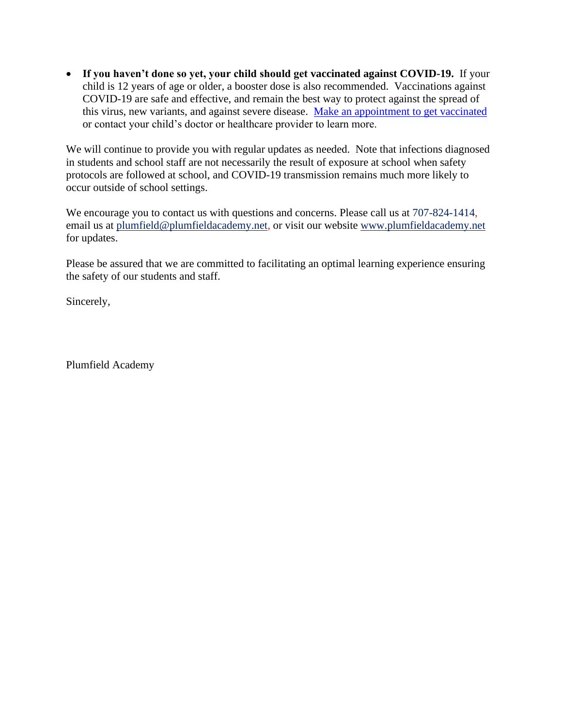• **If you haven't done so yet, your child should get vaccinated against COVID-19.** If your child is 12 years of age or older, a booster dose is also recommended. Vaccinations against COVID-19 are safe and effective, and remain the best way to protect against the spread of this virus, new variants, and against severe disease. [Make an appointment to get vaccinated](https://myturn.ca.gov/) or contact your child's doctor or healthcare provider to learn more.

We will continue to provide you with regular updates as needed. Note that infections diagnosed in students and school staff are not necessarily the result of exposure at school when safety protocols are followed at school, and COVID-19 transmission remains much more likely to occur outside of school settings.

We encourage you to contact us with questions and concerns. Please call us at 707-824-1414, email us at plumfield@plumfieldacademy.net, or visit our website www.plumfieldacademy.net for updates.

Please be assured that we are committed to facilitating an optimal learning experience ensuring the safety of our students and staff.

Sincerely,

Plumfield Academy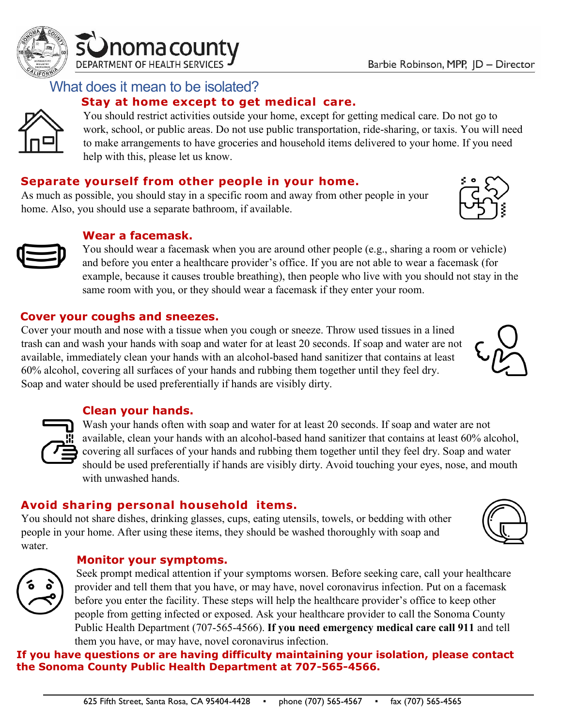

### What does it mean to be isolated?

### **Stay at home except to get medical care.**

You should restrict activities outside your home, except for getting medical care. Do not go to work, school, or public areas. Do not use public transportation, ride-sharing, or taxis. You will need to make arrangements to have groceries and household items delivered to your home. If you need help with this, please let us know.

#### **Separate yourself from other people in your home.**

As much as possible, you should stay in a specific room and away from other people in your home. Also, you should use a separate bathroom, if available.



#### **Wear a facemask.**

You should wear a facemask when you are around other people (e.g., sharing a room or vehicle) and before you enter a healthcare provider's office. If you are not able to wear a facemask (for example, because it causes trouble breathing), then people who live with you should not stay in the same room with you, or they should wear a facemask if they enter your room.

#### **Cover your coughs and sneezes.**

Cover your mouth and nose with a tissue when you cough or sneeze. Throw used tissues in a lined trash can and wash your hands with soap and water for at least 20 seconds. If soap and water are not available, immediately clean your hands with an alcohol-based hand sanitizer that contains at least 60% alcohol, covering all surfaces of your hands and rubbing them together until they feel dry. Soap and water should be used preferentially if hands are visibly dirty.

#### **Clean your hands.**

Wash your hands often with soap and water for at least 20 seconds. If soap and water are not available, clean your hands with an alcohol-based hand sanitizer that contains at least 60% alcohol, covering all surfaces of your hands and rubbing them together until they feel dry. Soap and water should be used preferentially if hands are visibly dirty. Avoid touching your eyes, nose, and mouth with unwashed hands.

#### **Avoid sharing personal household items.**

You should not share dishes, drinking glasses, cups, eating utensils, towels, or bedding with other people in your home. After using these items, they should be washed thoroughly with soap and water.

#### **Monitor your symptoms.**



Seek prompt medical attention if your symptoms worsen. Before seeking care, call your healthcare provider and tell them that you have, or may have, novel coronavirus infection. Put on a facemask before you enter the facility. These steps will help the healthcare provider's office to keep other people from getting infected or exposed. Ask your healthcare provider to call the Sonoma County Public Health Department (707-565-4566). **If you need emergency medical care call 911** and tell them you have, or may have, novel coronavirus infection.

#### **If you have questions or are having difficulty maintaining your isolation, please contact the Sonoma County Public Health Department at 707-565-4566.**